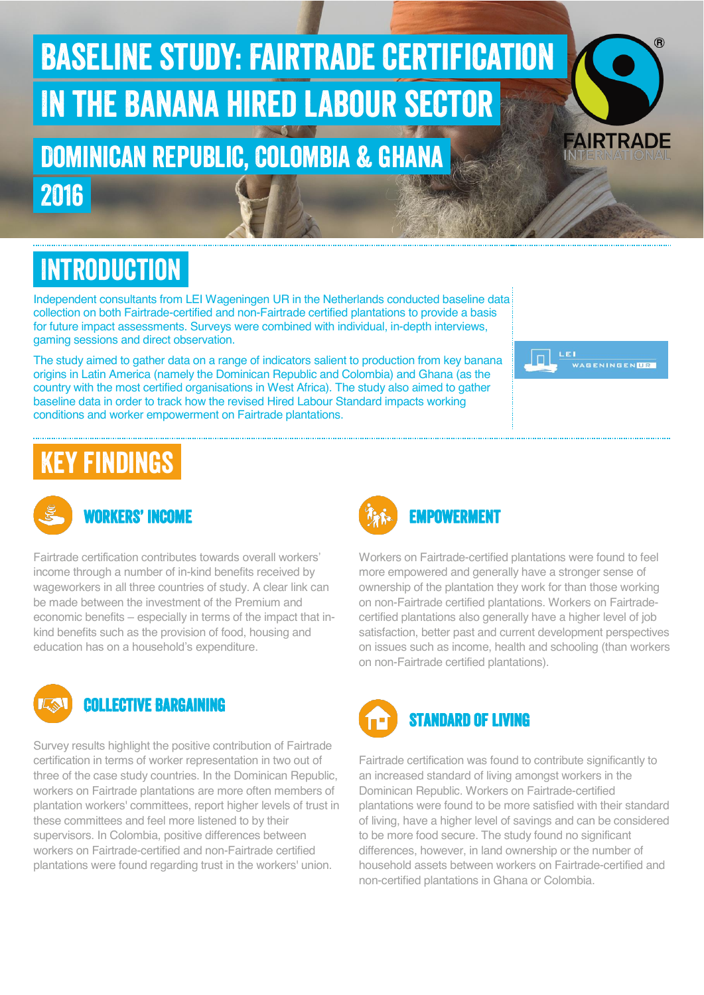# Baseline study: Fairtrade certification In the Banana hired labour sector

#### Dominican republic, Colombia & ghana 2016

**INTRODUCTION** 

Independent consultants from LEI Wageningen UR in the Netherlands conducted baseline data collection on both Fairtrade-certified and non-Fairtrade certified plantations to provide a basis for future impact assessments. Surveys were combined with individual, in-depth interviews, gaming sessions and direct observation.

The study aimed to gather data on a range of indicators salient to production from key banana origins in Latin America (namely the Dominican Republic and Colombia) and Ghana (as the country with the most certified organisations in West Africa). The study also aimed to gather baseline data in order to track how the revised Hired Labour Standard impacts working conditions and worker empowerment on Fairtrade plantations.

## Key findings



Fairtrade certification contributes towards overall workers' income through a number of in-kind benefits received by wageworkers in all three countries of study. A clear link can be made between the investment of the Premium and economic benefits – especially in terms of the impact that inkind benefits such as the provision of food, housing and education has on a household's expenditure.



Survey results highlight the positive contribution of Fairtrade certification in terms of worker representation in two out of three of the case study countries. In the Dominican Republic, workers on Fairtrade plantations are more often members of plantation workers' committees, report higher levels of trust in these committees and feel more listened to by their supervisors. In Colombia, positive differences between workers on Fairtrade-certified and non-Fairtrade certified plantations were found regarding trust in the workers' union.



Workers on Fairtrade-certified plantations were found to feel more empowered and generally have a stronger sense of ownership of the plantation they work for than those working on non-Fairtrade certified plantations. Workers on Fairtradecertified plantations also generally have a higher level of job satisfaction, better past and current development perspectives on issues such as income, health and schooling (than workers

AIRTRADE

LEI

WAGENINGEN**LIR** 



on non-Fairtrade certified plantations).

Fairtrade certification was found to contribute significantly to an increased standard of living amongst workers in the Dominican Republic. Workers on Fairtrade-certified plantations were found to be more satisfied with their standard of living, have a higher level of savings and can be considered to be more food secure. The study found no significant differences, however, in land ownership or the number of household assets between workers on Fairtrade-certified and non-certified plantations in Ghana or Colombia.